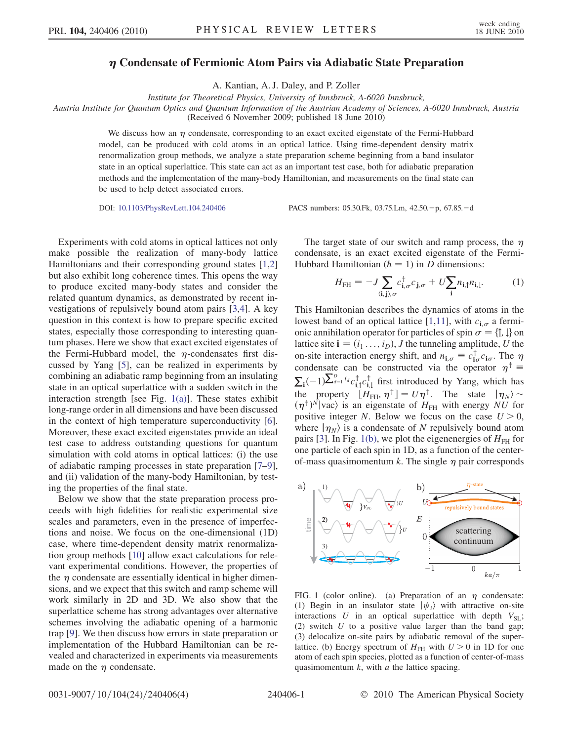## Condensate of Fermionic Atom Pairs via Adiabatic State Preparation

A. Kantian, A. J. Daley, and P. Zoller

Institute for Theoretical Physics, University of Innsbruck, A-6020 Innsbruck,

Austria Institute for Quantum Optics and Quantum Information of the Austrian Academy of Sciences, A-6020 Innsbruck, Austria (Received 6 November 2009; published 18 June 2010)

We discuss how an  $\eta$  condensate, corresponding to an exact excited eigenstate of the Fermi-Hubbard model, can be produced with cold atoms in an optical lattice. Using time-dependent density matrix renormalization group methods, we analyze a state preparation scheme beginning from a band insulator state in an optical superlattice. This state can act as an important test case, both for adiabatic preparation methods and the implementation of the many-body Hamiltonian, and measurements on the final state can be used to help detect associated errors.

DOI: [10.1103/PhysRevLett.104.240406](http://dx.doi.org/10.1103/PhysRevLett.104.240406) PACS numbers: 05.30.Fk, 03.75.Lm, 42.50.-p, 67.85.-d

Experiments with cold atoms in optical lattices not only make possible the realization of many-body lattice Hamiltonians and their corresponding ground states [[1](#page-3-0)[,2\]](#page-3-1) but also exhibit long coherence times. This opens the way to produce excited many-body states and consider the related quantum dynamics, as demonstrated by recent investigations of repulsively bound atom pairs [\[3](#page-3-2)[,4\]](#page-3-3). A key question in this context is how to prepare specific excited states, especially those corresponding to interesting quantum phases. Here we show that exact excited eigenstates of the Fermi-Hubbard model, the  $\eta$ -condensates first discussed by Yang [[5\]](#page-3-4), can be realized in experiments by combining an adiabatic ramp beginning from an insulating state in an optical superlattice with a sudden switch in the interaction strength [see Fig. [1\(a\)\]](#page-0-0). These states exhibit long-range order in all dimensions and have been discussed in the context of high temperature superconductivity [[6\]](#page-3-5). Moreover, these exact excited eigenstates provide an ideal test case to address outstanding questions for quantum simulation with cold atoms in optical lattices: (i) the use of adiabatic ramping processes in state preparation [\[7](#page-3-6)–[9\]](#page-3-7), and (ii) validation of the many-body Hamiltonian, by testing the properties of the final state.

Below we show that the state preparation process proceeds with high fidelities for realistic experimental size scales and parameters, even in the presence of imperfections and noise. We focus on the one-dimensional (1D) case, where time-dependent density matrix renormalization group methods [[10](#page-3-8)] allow exact calculations for relevant experimental conditions. However, the properties of the  $\eta$  condensate are essentially identical in higher dimensions, and we expect that this switch and ramp scheme will work similarly in 2D and 3D. We also show that the superlattice scheme has strong advantages over alternative schemes involving the adiabatic opening of a harmonic trap [\[9\]](#page-3-7). We then discuss how errors in state preparation or implementation of the Hubbard Hamiltonian can be revealed and characterized in experiments via measurements made on the  $\eta$  condensate.

<span id="page-0-1"></span>The target state of our switch and ramp process, the  $\eta$ condensate, is an exact excited eigenstate of the Fermi-Hubbard Hamiltonian  $(h = 1)$  in D dimensions:

$$
H_{\rm FH} = -J \sum_{\langle \mathbf{i}, \mathbf{j} \rangle, \sigma} c_{\mathbf{i}, \sigma}^{\dagger} c_{\mathbf{j}, \sigma} + U \sum_{\mathbf{i}} n_{\mathbf{i}, \uparrow} n_{\mathbf{i}, \downarrow}. \tag{1}
$$

This Hamiltonian describes the dynamics of atoms in the lowest band of an optical lattice [\[1](#page-3-0),[11](#page-3-9)], with  $c_{i,\sigma}$  a fermionic annihilation operator for particles of spin  $\sigma = \{\uparrow, \downarrow\}$  on<br>lattice site  $\mathbf{i} = (i, \dots, i)$ . I the tunneling amplitude II the lattice site  $\mathbf{i} = (i_1 \dots, i_D)$ , *J* the tunneling amplitude, *U* the on-site interaction energy shift, and  $n_{i,\sigma} \equiv c_{i\sigma}^{\dagger} c_{i\sigma}$ . The  $\eta$ condensate can be constructed via the operator  $\eta^{\dagger} \equiv$  $\sum_{i}(-1)\sum_{j=1}^{D} i_{d}c_{i,\uparrow}^{\dagger}c_{i,\downarrow}^{\dagger}$  first introduced by Yang, which has the property  $[H_{\text{FH}}^{\dagger}, \eta^{\dagger}] = U \eta^{\dagger}$ . The state  $|\eta_N\rangle \sim$  $(\eta^{\dagger})^N$  vac) is an eigenstate of  $H_{FH}$  with energy NU for<br>nositive integer N. Below we focus on the case  $I/\geq 0$ positive integer N. Below we focus on the case  $U > 0$ , where  $|\eta_N\rangle$  is a condensate of N repulsively bound atom pairs [\[3\]](#page-3-2). In Fig. [1\(b\),](#page-0-0) we plot the eigenenergies of  $H_{\text{FH}}$  for one particle of each spin in 1D, as a function of the centerof-mass quasimomentum k. The single  $\eta$  pair corresponds



<span id="page-0-0"></span>FIG. 1 (color online). (a) Preparation of an  $\eta$  condensate: (1) Begin in an insulator state  $|\psi_i\rangle$  with attractive on-site interactions U in an optical superlattice with depth  $V_{\text{SL}}$ ; (2) switch  $U$  to a positive value larger than the band gap; (3) delocalize on-site pairs by adiabatic removal of the superlattice. (b) Energy spectrum of  $H<sub>FH</sub>$  with  $U > 0$  in 1D for one atom of each spin species, plotted as a function of center-of-mass quasimomentum  $k$ , with  $a$  the lattice spacing.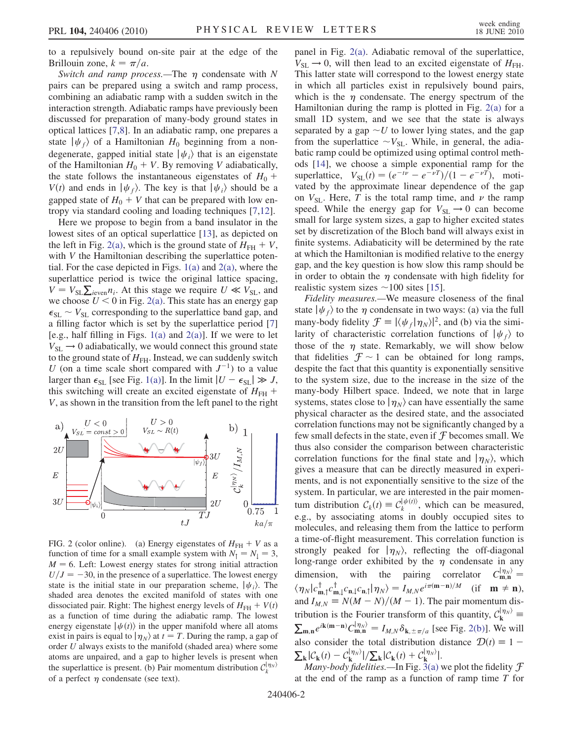to a repulsively bound on-site pair at the edge of the Brillouin zone,  $k = \pi/a$ .

Switch and ramp process.—The  $\eta$  condensate with N pairs can be prepared using a switch and ramp process, combining an adiabatic ramp with a sudden switch in the interaction strength. Adiabatic ramps have previously been discussed for preparation of many-body ground states in optical lattices [\[7](#page-3-6),[8](#page-3-10)]. In an adiabatic ramp, one prepares a state  $|\psi_f\rangle$  of a Hamiltonian  $H_0$  beginning from a nondegenerate, gapped initial state  $|\psi_i\rangle$  that is an eigenstate of the Hamiltonian  $H_0 + V$ . By removing V adiabatically, the state follows the instantaneous eigenstates of  $H_0$  +  $V(t)$  and ends in  $|\psi_f\rangle$ . The key is that  $|\psi_i\rangle$  should be a gapped state of  $H_0 + V$  that can be prepared with low entropy via standard cooling and loading techniques [\[7](#page-3-6),[12](#page-3-11)].

Here we propose to begin from a band insulator in the lowest sites of an optical superlattice [\[13\]](#page-3-12), as depicted on the left in Fig. [2\(a\)](#page-1-0), which is the ground state of  $H_{FH} + V$ , with *V* the Hamiltonian describing the superlattice potential. For the case depicted in Figs.  $1(a)$  and  $2(a)$ , where the superlattice period is twice the original lattice spacing,  $V = V_{SL} \sum_{i \text{even}} n_i$ . At this stage we require  $U \ll V_{SL}$ , and we choose  $U \ll 0$  in Fig. 2(a). This state has an energy gang we choose  $U < 0$  in Fig. [2\(a\)](#page-1-0). This state has an energy gap  $\epsilon_{SL} \sim V_{SL}$  corresponding to the superlattice band gap, and a filling factor which is set by the superlattice period [\[7\]](#page-3-6) [e.g., half filling in Figs.  $1(a)$  and  $2(a)$ ]. If we were to let  $V_{SL} \rightarrow 0$  adiabatically, we would connect this ground state to the ground state of  $H<sub>FH</sub>$ . Instead, we can suddenly switch U (on a time scale short compared with  $J^{-1}$ ) to a value larger than  $\epsilon_{SL}$  [see Fig. [1\(a\)](#page-0-0)]. In the limit  $|U - \epsilon_{SL}| \gg J$ , this switching will create an excited eigenstate of  $H_{FH}$  + V, as shown in the transition from the left panel to the right



<span id="page-1-0"></span>FIG. 2 (color online). (a) Energy eigenstates of  $H_{FH} + V$  as a function of time for a small example system with  $N_1 = N_1 = 3$ ,  $M = 6$ . Left: Lowest energy states for strong initial attraction  $U/J = -30$ , in the presence of a superlattice. The lowest energy state is the initial state in our preparation scheme,  $|\psi_i\rangle$ . The shaded area denotes the excited manifold of states with one dissociated pair. Right: The highest energy levels of  $H_{FH} + V(t)$ as a function of time during the adiabatic ramp. The lowest energy eigenstate  $|\psi(t)\rangle$  in the upper manifold where all atoms exist in pairs is equal to  $|\eta_N\rangle$  at  $t = T$ . During the ramp, a gap of order U always exists to the manifold (shaded area) where some atoms are unpaired, and a gap to higher levels is present when the superlattice is present. (b) Pair momentum distribution  $C_k^{(\eta_N)}$ of a perfect  $\eta$  condensate (see text).

panel in Fig. [2\(a\).](#page-1-0) Adiabatic removal of the superlattice,  $V_{SL} \rightarrow 0$ , will then lead to an excited eigenstate of  $H_{FH}$ . This latter state will correspond to the lowest energy state in which all particles exist in repulsively bound pairs, which is the  $\eta$  condensate. The energy spectrum of the Hamiltonian during the ramp is plotted in Fig. [2\(a\)](#page-1-0) for a small 1D system, and we see that the state is always separated by a gap  $\sim U$  to lower lying states, and the gap from the superlattice  $\sim V_{\text{SL}}$ . While, in general, the adiabatic ramp could be optimized using optimal control methods [\[14\]](#page-3-13), we choose a simple exponential ramp for the superlattice,  $V_{SL}(t) = (e^{-t\nu} - e^{-\nu T})/(1 - e^{-\nu T})$ , motivated by the approximate linear dependence of the gap on  $V_{SL}$ . Here, T is the total ramp time, and  $\nu$  the ramp speed. While the energy gap for  $V_{SL} \rightarrow 0$  can become small for large system sizes, a gap to higher excited states set by discretization of the Bloch band will always exist in finite systems. Adiabaticity will be determined by the rate at which the Hamiltonian is modified relative to the energy gap, and the key question is how slow this ramp should be in order to obtain the  $\eta$  condensate with high fidelity for realistic system sizes  $\sim$  100 sites [\[15\]](#page-3-14).

Fidelity measures.—We measure closeness of the final state  $|\psi_f\rangle$  to the  $\eta$  condensate in two ways: (a) via the full many-body fidelity  $\mathcal{F} = |\langle \psi_f | \eta_N \rangle|^2$ , and (b) via the simi-<br>larity of characteristic correlation functions of  $|\psi|$  to larity of characteristic correlation functions of  $|\psi_f\rangle$  to those of the  $\eta$  state. Remarkably, we will show below that fidelities  $\mathcal{F} \sim 1$  can be obtained for long ramps, despite the fact that this quantity is exponentially sensitive to the system size, due to the increase in the size of the many-body Hilbert space. Indeed, we note that in large systems, states close to  $|\eta_N\rangle$  can have essentially the same physical character as the desired state, and the associated correlation functions may not be significantly changed by a few small defects in the state, even if  $\mathcal F$  becomes small. We thus also consider the comparison between characteristic correlation functions for the final state and  $|\eta_N\rangle$ , which gives a measure that can be directly measured in experiments, and is not exponentially sensitive to the size of the system. In particular, we are interested in the pair momentum distribution  $C_k(t) \equiv C_k^{|\psi(t)\rangle}$ , which can be measured, e.g., by associating atoms in doubly occupied sites to molecules, and releasing them from the lattice to perform a time-of-flight measurement. This correlation function is strongly peaked for  $|\eta_N\rangle$ , reflecting the off-diagonal long-range order exhibited by the  $\eta$  condensate in any dimension, with the pairing correlator  $C_{\mathbf{m},\mathbf{n}}^{|\eta|_{N}} =$  $\langle \eta_N | c_{m,\uparrow}^{\dagger} c_{m,\downarrow}^{\dagger} c_{n,\downarrow} c_{n,\uparrow} | \eta_N \rangle = I_{M,N} e^{i\pi(m-n)/M}$  (if  $m \neq n$ ),<br>and  $I = N(M - N)/(M - 1)$  The pair momentum disand  $I_{M,N} \equiv N(M - N)/(M - 1)$ . The pair momentum distribution is the Fourier transform of this quantity,  $C_{\mathbf{k}}^{(\eta_N)}$ thoution is the Fourier transform of this quantity,  $C_{\mathbf{k}} = \sum_{m,n} e^{i\mathbf{k}(m-n)} C_{m,n}^{(\eta_N)} = I_{M,N} \delta_{\mathbf{k}, \pm \pi/a}$  [see Fig. [2\(b\)](#page-1-0)]. We will also consider the total distribution distance  $\mathcal{D}(t) \equiv 1 - \sum_{\mathbf{k}} |\mathcal{C}_{\mathbf{k}}(t) - \mathcal{C}_{\mathbf{k}}^{|\eta_N\rangle}| / \sum_{\mathbf{k}} |\mathcal{C}_{\mathbf{k}}(t) + \mathcal{C}_{\mathbf{k}}^{|\eta_N\rangle}|.$  $\frac{1}{k} |\mathcal{C}_{\mathbf{k}}(t) - \mathcal{C}_{\mathbf{k}}^{|\eta_N\rangle}| / \sum_{\mathbf{k}} |\mathcal{C}_{\mathbf{k}}(t) + \mathcal{C}_{\mathbf{k}}^{|\eta_N\rangle}|.$ Many-body fidelities — In Fig. 3(a)

Many-body fidelities.—In Fig. [3\(a\)](#page-2-0) we plot the fidelity  $\mathcal F$ at the end of the ramp as a function of ramp time  $T$  for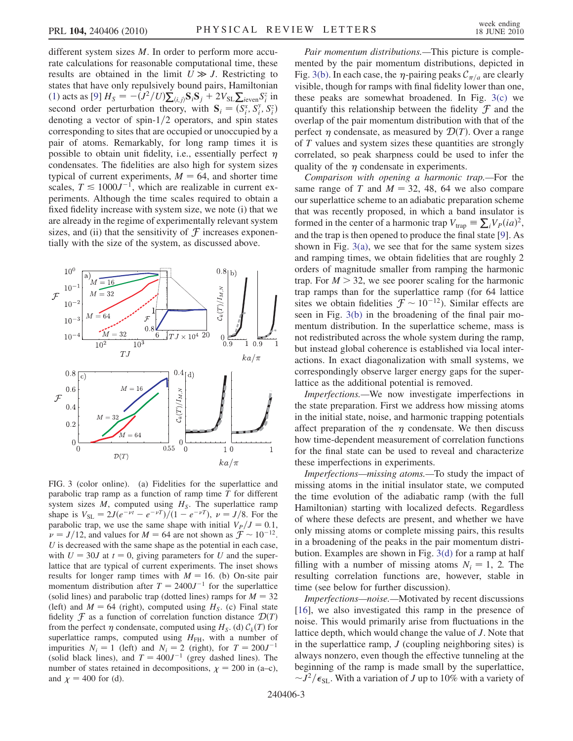different system sizes M. In order to perform more accurate calculations for reasonable computational time, these results are obtained in the limit  $U \gg J$ . Restricting to states that have only repulsively bound pairs, Hamiltonian [\(1\)](#page-0-1) acts as [\[9](#page-3-7)]  $H_S = -(J^2/U)\Sigma_{\langle i,j\rangle} S_i S_j + 2V_{SL}\Sigma_{i\text{even}} S_i^z$  in second order perturbation theory, with  $S_i = (S_i^x, S_i^y, S_i^z)$ <br>denoting a vector of spin-1/2 operators, and spin state second order perturbation theory, with  $S_i = (S_i^x, S_i^x, S_i^y)$ <br>denoting a vector of spin-1/2 operators, and spin states corresponding to sites that are occupied or unoccupied by a pair of atoms. Remarkably, for long ramp times it is possible to obtain unit fidelity, i.e., essentially perfect  $\eta$ condensates. The fidelities are also high for system sizes typical of current experiments,  $M = 64$ , and shorter time scales,  $T \le 1000J^{-1}$ , which are realizable in current experiments. Although the time scales required to obtain a fixed fidelity increase with system size, we note (i) that we are already in the regime of experimentally relevant system sizes, and (ii) that the sensitivity of  $\mathcal F$  increases exponentially with the size of the system, as discussed above.



<span id="page-2-0"></span>FIG. 3 (color online). (a) Fidelities for the superlattice and parabolic trap ramp as a function of ramp time  $T$  for different system sizes  $M$ , computed using  $H<sub>S</sub>$ . The superlattice ramp shape is  $V_{SL} = 2J(e^{-\nu t} - e^{-\nu T})/(1 - e^{-\nu T})$ ,  $\nu = J/8$ . For the parabolic trap, we use the same shape with initial  $V_P/J=0.1$ ,  $\nu = J/12$ , and values for  $M = 64$  are not shown as  $\mathcal{F} \sim 10^{-12}$ .  $U$  is decreased with the same shape as the potential in each case, with  $U = 30J$  at  $t = 0$ , giving parameters for U and the superlattice that are typical of current experiments. The inset shows results for longer ramp times with  $M = 16$ . (b) On-site pair momentum distribution after  $T = 2400J^{-1}$  for the superlattice (solid lines) and parabolic trap (dotted lines) ramps for  $M = 32$ (left) and  $M = 64$  (right), computed using  $H<sub>S</sub>$ . (c) Final state fidelity  $\mathcal F$  as a function of correlation function distance  $\mathcal D(T)$ from the perfect  $\eta$  condensate, computed using  $H_S$ . (d)  $C_k(T)$  for superlattice ramps, computed using  $H<sub>FH</sub>$ , with a number of impurities  $N_i = 1$  (left) and  $N_i = 2$  (right), for  $T = 200J^{-1}$ (solid black lines), and  $T = 400J^{-1}$  (grey dashed lines). The number of states retained in decompositions,  $\chi = 200$  in (a–c), and  $\chi$  = 400 for (d).

Pair momentum distributions.—This picture is complemented by the pair momentum distributions, depicted in Fig. [3\(b\)](#page-2-0). In each case, the  $\eta$ -pairing peaks  $C_{\pi/a}$  are clearly visible, though for ramps with final fidelity lower than one, these peaks are somewhat broadened. In Fig. [3\(c\)](#page-2-0) we quantify this relationship between the fidelity  $\mathcal F$  and the overlap of the pair momentum distribution with that of the perfect  $\eta$  condensate, as measured by  $\mathcal{D}(T)$ . Over a range of  $T$  values and system sizes these quantities are strongly correlated, so peak sharpness could be used to infer the quality of the  $\eta$  condensate in experiments.

Comparison with opening a harmonic trap.—For the same range of T and  $M = 32, 48, 64$  we also compare our superlattice scheme to an adiabatic preparation scheme that was recently proposed, in which a band insulator is formed in the center of a harmonic trap  $V_{trap} \equiv \sum_i V_P(i\alpha)^2$ , and the trap is then opened to produce the final state [[9](#page-3-7)]. As shown in Fig.  $3(a)$ , we see that for the same system sizes and ramping times, we obtain fidelities that are roughly 2 orders of magnitude smaller from ramping the harmonic trap. For  $M > 32$ , we see poorer scaling for the harmonic trap ramps than for the superlattice ramp (for 64 lattice sites we obtain fidelities  $\mathcal{F} \sim 10^{-12}$ ). Similar effects are seen in Fig. [3\(b\)](#page-2-0) in the broadening of the final pair momentum distribution. In the superlattice scheme, mass is not redistributed across the whole system during the ramp, but instead global coherence is established via local interactions. In exact diagonalization with small systems, we correspondingly observe larger energy gaps for the superlattice as the additional potential is removed.

Imperfections.—We now investigate imperfections in the state preparation. First we address how missing atoms in the initial state, noise, and harmonic trapping potentials affect preparation of the  $\eta$  condensate. We then discuss how time-dependent measurement of correlation functions for the final state can be used to reveal and characterize these imperfections in experiments.

Imperfections—missing atoms.—To study the impact of missing atoms in the initial insulator state, we computed the time evolution of the adiabatic ramp (with the full Hamiltonian) starting with localized defects. Regardless of where these defects are present, and whether we have only missing atoms or complete missing pairs, this results in a broadening of the peaks in the pair momentum distribution. Examples are shown in Fig. [3\(d\)](#page-2-0) for a ramp at half filling with a number of missing atoms  $N_i = 1$ , 2. The resulting correlation functions are, however, stable in time (see below for further discussion).

Imperfections—noise.—Motivated by recent discussions [\[16\]](#page-3-15), we also investigated this ramp in the presence of noise. This would primarily arise from fluctuations in the lattice depth, which would change the value of J. Note that in the superlattice ramp,  $J$  (coupling neighboring sites) is always nonzero, even though the effective tunneling at the beginning of the ramp is made small by the superlattice,  $\sim J^2/\epsilon_{\rm SL}$ . With a variation of J up to 10% with a variety of